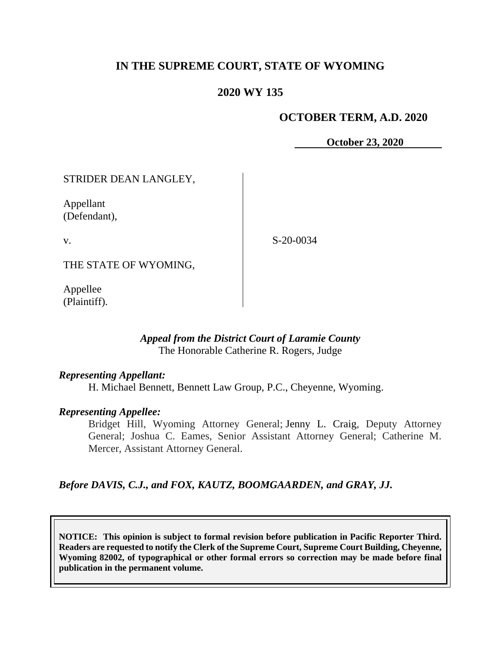# **IN THE SUPREME COURT, STATE OF WYOMING**

## **2020 WY 135**

#### **OCTOBER TERM, A.D. 2020**

**October 23, 2020** 

STRIDER DEAN LANGLEY,

Appellant (Defendant),

v.

S-20-0034

THE STATE OF WYOMING,

Appellee (Plaintiff).

#### *Appeal from the District Court of Laramie County* The Honorable Catherine R. Rogers, Judge

#### *Representing Appellant:*

H. Michael Bennett, Bennett Law Group, P.C., Cheyenne, Wyoming.

#### *Representing Appellee:*

Bridget Hill, Wyoming Attorney General; Jenny L. Craig, Deputy Attorney General; Joshua C. Eames, Senior Assistant Attorney General; Catherine M. Mercer, Assistant Attorney General.

#### *Before DAVIS, C.J., and FOX, KAUTZ, BOOMGAARDEN, and GRAY, JJ.*

**NOTICE: This opinion is subject to formal revision before publication in Pacific Reporter Third. Readers are requested to notify the Clerk of the Supreme Court, Supreme Court Building, Cheyenne, Wyoming 82002, of typographical or other formal errors so correction may be made before final publication in the permanent volume.**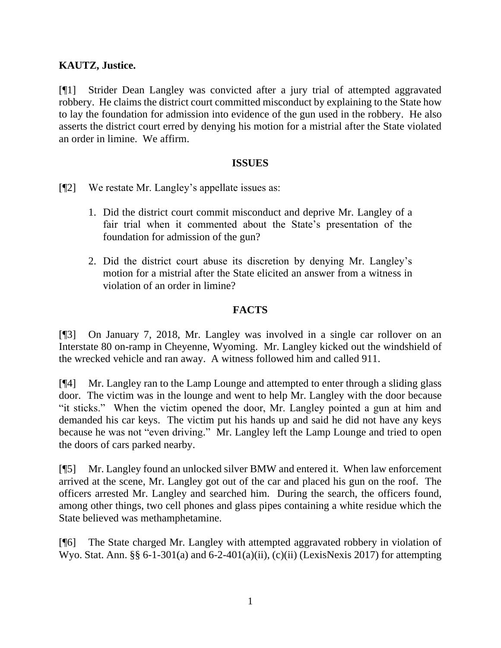## **KAUTZ, Justice.**

[¶1] Strider Dean Langley was convicted after a jury trial of attempted aggravated robbery. He claims the district court committed misconduct by explaining to the State how to lay the foundation for admission into evidence of the gun used in the robbery. He also asserts the district court erred by denying his motion for a mistrial after the State violated an order in limine. We affirm.

#### **ISSUES**

[¶2] We restate Mr. Langley's appellate issues as:

- 1. Did the district court commit misconduct and deprive Mr. Langley of a fair trial when it commented about the State's presentation of the foundation for admission of the gun?
- 2. Did the district court abuse its discretion by denying Mr. Langley's motion for a mistrial after the State elicited an answer from a witness in violation of an order in limine?

### **FACTS**

[¶3] On January 7, 2018, Mr. Langley was involved in a single car rollover on an Interstate 80 on-ramp in Cheyenne, Wyoming. Mr. Langley kicked out the windshield of the wrecked vehicle and ran away. A witness followed him and called 911.

[¶4] Mr. Langley ran to the Lamp Lounge and attempted to enter through a sliding glass door. The victim was in the lounge and went to help Mr. Langley with the door because "it sticks." When the victim opened the door, Mr. Langley pointed a gun at him and demanded his car keys. The victim put his hands up and said he did not have any keys because he was not "even driving." Mr. Langley left the Lamp Lounge and tried to open the doors of cars parked nearby.

[¶5] Mr. Langley found an unlocked silver BMW and entered it. When law enforcement arrived at the scene, Mr. Langley got out of the car and placed his gun on the roof. The officers arrested Mr. Langley and searched him. During the search, the officers found, among other things, two cell phones and glass pipes containing a white residue which the State believed was methamphetamine.

[¶6] The State charged Mr. Langley with attempted aggravated robbery in violation of Wyo. Stat. Ann. §§ 6-1-301(a) and 6-2-401(a)(ii), (c)(ii) (LexisNexis 2017) for attempting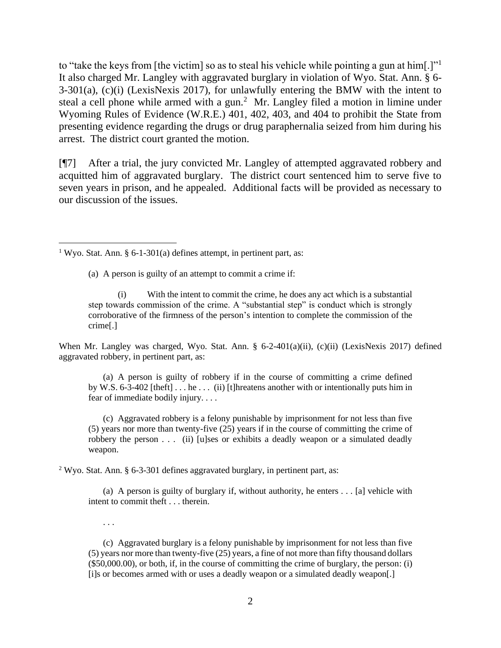to "take the keys from [the victim] so as to steal his vehicle while pointing a gun at him[.]" It also charged Mr. Langley with aggravated burglary in violation of Wyo. Stat. Ann. § 6- 3-301(a), (c)(i) (LexisNexis 2017), for unlawfully entering the BMW with the intent to steal a cell phone while armed with a gun.<sup>2</sup> Mr. Langley filed a motion in limine under Wyoming Rules of Evidence (W.R.E.) 401, 402, 403, and 404 to prohibit the State from presenting evidence regarding the drugs or drug paraphernalia seized from him during his arrest. The district court granted the motion.

[¶7] After a trial, the jury convicted Mr. Langley of attempted aggravated robbery and acquitted him of aggravated burglary. The district court sentenced him to serve five to seven years in prison, and he appealed. Additional facts will be provided as necessary to our discussion of the issues.

(a) A person is guilty of an attempt to commit a crime if:

When Mr. Langley was charged, Wyo. Stat. Ann. § 6-2-401(a)(ii), (c)(ii) (LexisNexis 2017) defined aggravated robbery, in pertinent part, as:

(a) A person is guilty of robbery if in the course of committing a crime defined by W.S. 6-3-402 [theft]  $\dots$  he  $\dots$  (ii) [t]hreatens another with or intentionally puts him in fear of immediate bodily injury. . . .

(c) Aggravated robbery is a felony punishable by imprisonment for not less than five (5) years nor more than twenty-five (25) years if in the course of committing the crime of robbery the person . . . (ii) [u]ses or exhibits a deadly weapon or a simulated deadly weapon.

<sup>2</sup> Wyo. Stat. Ann. § 6-3-301 defines aggravated burglary, in pertinent part, as:

(a) A person is guilty of burglary if, without authority, he enters . . . [a] vehicle with intent to commit theft . . . therein.

. . .

(c) Aggravated burglary is a felony punishable by imprisonment for not less than five (5) years nor more than twenty-five (25) years, a fine of not more than fifty thousand dollars (\$50,000.00), or both, if, in the course of committing the crime of burglary, the person: (i) [i]s or becomes armed with or uses a deadly weapon or a simulated deadly weapon[.]

<sup>&</sup>lt;sup>1</sup> Wyo. Stat. Ann. § 6-1-301(a) defines attempt, in pertinent part, as:

<sup>(</sup>i) With the intent to commit the crime, he does any act which is a substantial step towards commission of the crime. A "substantial step" is conduct which is strongly corroborative of the firmness of the person's intention to complete the commission of the crime[.]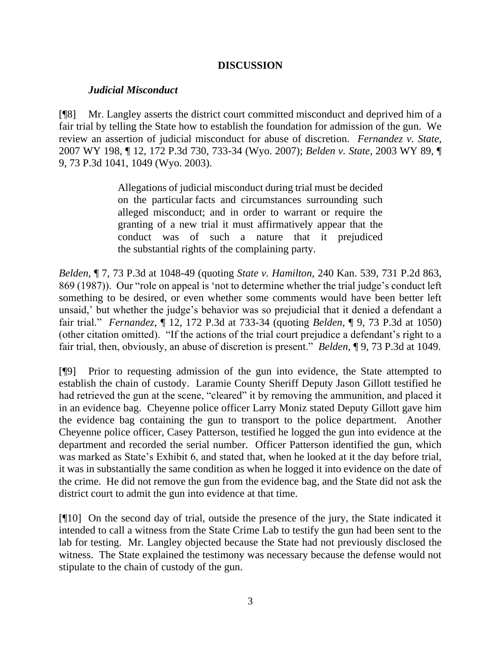## **DISCUSSION**

### *Judicial Misconduct*

[¶8] Mr. Langley asserts the district court committed misconduct and deprived him of a fair trial by telling the State how to establish the foundation for admission of the gun. We review an assertion of judicial misconduct for abuse of discretion. *Fernandez v. State,*  2007 WY 198, ¶ 12, 172 P.3d 730, 733-34 (Wyo. 2007); *Belden v. State,* 2003 WY 89, ¶ 9, 73 P.3d 1041, 1049 (Wyo. 2003).

> Allegations of judicial misconduct during trial must be decided on the particular facts and circumstances surrounding such alleged misconduct; and in order to warrant or require the granting of a new trial it must affirmatively appear that the conduct was of such a nature that it prejudiced the substantial rights of the complaining party.

*Belden,* ¶ 7, 73 P.3d at 1048-49 (quoting *State v. Hamilton,* 240 Kan. 539, 731 P.2d 863, 869 (1987)). Our "role on appeal is 'not to determine whether the trial judge's conduct left something to be desired, or even whether some comments would have been better left unsaid,' but whether the judge's behavior was so prejudicial that it denied a defendant a fair trial." *Fernandez,* ¶ 12, 172 P.3d at 733-34 (quoting *Belden*, ¶ 9, 73 P.3d at 1050) (other citation omitted). "If the actions of the trial court prejudice a defendant's right to a fair trial, then, obviously, an abuse of discretion is present." *Belden,* ¶ 9, 73 P.3d at 1049.

[¶9] Prior to requesting admission of the gun into evidence, the State attempted to establish the chain of custody. Laramie County Sheriff Deputy Jason Gillott testified he had retrieved the gun at the scene, "cleared" it by removing the ammunition, and placed it in an evidence bag. Cheyenne police officer Larry Moniz stated Deputy Gillott gave him the evidence bag containing the gun to transport to the police department. Another Cheyenne police officer, Casey Patterson, testified he logged the gun into evidence at the department and recorded the serial number. Officer Patterson identified the gun, which was marked as State's Exhibit 6, and stated that, when he looked at it the day before trial, it was in substantially the same condition as when he logged it into evidence on the date of the crime. He did not remove the gun from the evidence bag, and the State did not ask the district court to admit the gun into evidence at that time.

[¶10] On the second day of trial, outside the presence of the jury, the State indicated it intended to call a witness from the State Crime Lab to testify the gun had been sent to the lab for testing. Mr. Langley objected because the State had not previously disclosed the witness. The State explained the testimony was necessary because the defense would not stipulate to the chain of custody of the gun.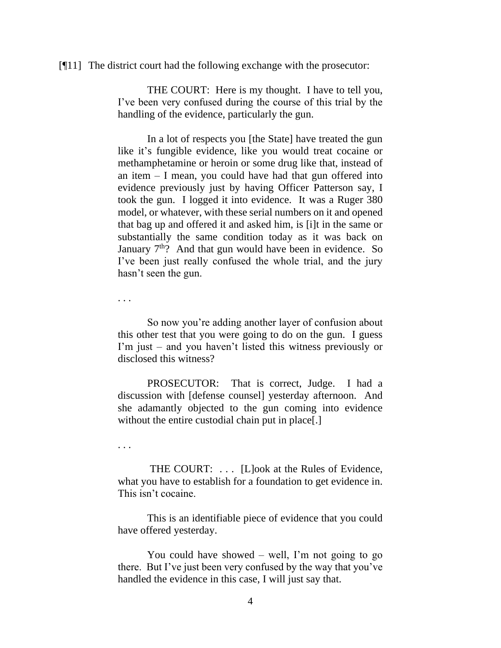[¶11] The district court had the following exchange with the prosecutor:

THE COURT: Here is my thought. I have to tell you, I've been very confused during the course of this trial by the handling of the evidence, particularly the gun.

In a lot of respects you [the State] have treated the gun like it's fungible evidence, like you would treat cocaine or methamphetamine or heroin or some drug like that, instead of an item – I mean, you could have had that gun offered into evidence previously just by having Officer Patterson say, I took the gun. I logged it into evidence. It was a Ruger 380 model, or whatever, with these serial numbers on it and opened that bag up and offered it and asked him, is [i]t in the same or substantially the same condition today as it was back on January  $7<sup>th</sup>$ ? And that gun would have been in evidence. So I've been just really confused the whole trial, and the jury hasn't seen the gun.

. . .

So now you're adding another layer of confusion about this other test that you were going to do on the gun. I guess I'm just – and you haven't listed this witness previously or disclosed this witness?

PROSECUTOR: That is correct, Judge. I had a discussion with [defense counsel] yesterday afternoon. And she adamantly objected to the gun coming into evidence without the entire custodial chain put in place.

. . .

THE COURT: ... [L]ook at the Rules of Evidence, what you have to establish for a foundation to get evidence in. This isn't cocaine.

This is an identifiable piece of evidence that you could have offered yesterday.

You could have showed – well, I'm not going to go there. But I've just been very confused by the way that you've handled the evidence in this case, I will just say that.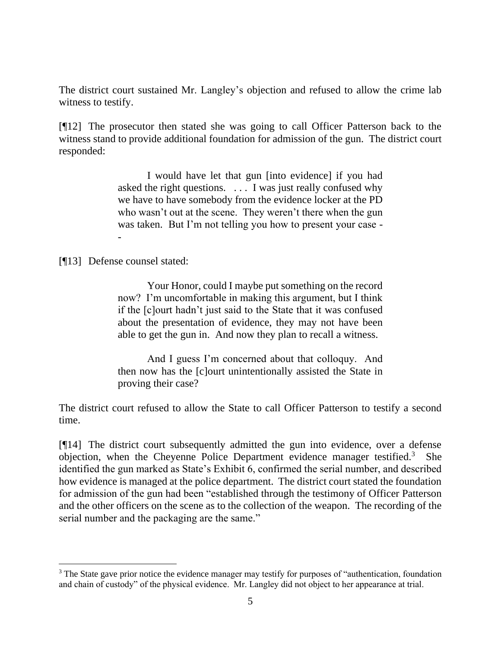The district court sustained Mr. Langley's objection and refused to allow the crime lab witness to testify.

[¶12] The prosecutor then stated she was going to call Officer Patterson back to the witness stand to provide additional foundation for admission of the gun. The district court responded:

> I would have let that gun [into evidence] if you had asked the right questions. . . . I was just really confused why we have to have somebody from the evidence locker at the PD who wasn't out at the scene. They weren't there when the gun was taken. But I'm not telling you how to present your case - -

[¶13] Defense counsel stated:

Your Honor, could I maybe put something on the record now? I'm uncomfortable in making this argument, but I think if the [c]ourt hadn't just said to the State that it was confused about the presentation of evidence, they may not have been able to get the gun in. And now they plan to recall a witness.

And I guess I'm concerned about that colloquy. And then now has the [c]ourt unintentionally assisted the State in proving their case?

The district court refused to allow the State to call Officer Patterson to testify a second time.

[¶14] The district court subsequently admitted the gun into evidence, over a defense objection, when the Cheyenne Police Department evidence manager testified.<sup>3</sup> She identified the gun marked as State's Exhibit 6, confirmed the serial number, and described how evidence is managed at the police department. The district court stated the foundation for admission of the gun had been "established through the testimony of Officer Patterson and the other officers on the scene as to the collection of the weapon. The recording of the serial number and the packaging are the same."

<sup>&</sup>lt;sup>3</sup> The State gave prior notice the evidence manager may testify for purposes of "authentication, foundation and chain of custody" of the physical evidence. Mr. Langley did not object to her appearance at trial.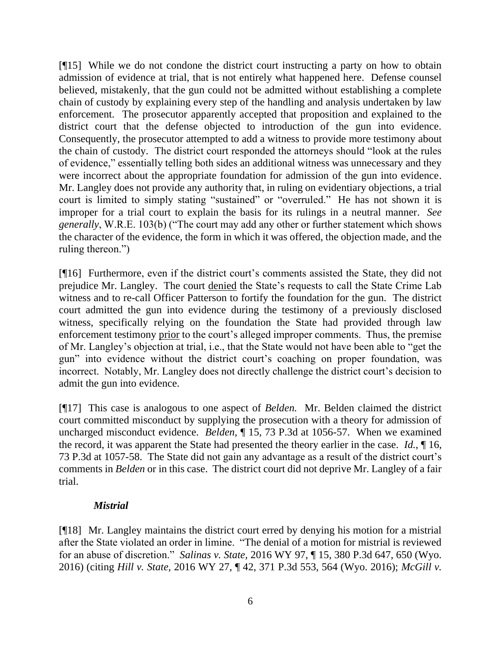[¶15] While we do not condone the district court instructing a party on how to obtain admission of evidence at trial, that is not entirely what happened here. Defense counsel believed, mistakenly, that the gun could not be admitted without establishing a complete chain of custody by explaining every step of the handling and analysis undertaken by law enforcement. The prosecutor apparently accepted that proposition and explained to the district court that the defense objected to introduction of the gun into evidence. Consequently, the prosecutor attempted to add a witness to provide more testimony about the chain of custody. The district court responded the attorneys should "look at the rules of evidence," essentially telling both sides an additional witness was unnecessary and they were incorrect about the appropriate foundation for admission of the gun into evidence. Mr. Langley does not provide any authority that, in ruling on evidentiary objections, a trial court is limited to simply stating "sustained" or "overruled." He has not shown it is improper for a trial court to explain the basis for its rulings in a neutral manner. *See generally*, W.R.E. 103(b) ("The court may add any other or further statement which shows the character of the evidence, the form in which it was offered, the objection made, and the ruling thereon.")

[¶16] Furthermore, even if the district court's comments assisted the State, they did not prejudice Mr. Langley. The court denied the State's requests to call the State Crime Lab witness and to re-call Officer Patterson to fortify the foundation for the gun. The district court admitted the gun into evidence during the testimony of a previously disclosed witness, specifically relying on the foundation the State had provided through law enforcement testimony prior to the court's alleged improper comments. Thus, the premise of Mr. Langley's objection at trial, i.e., that the State would not have been able to "get the gun" into evidence without the district court's coaching on proper foundation, was incorrect. Notably, Mr. Langley does not directly challenge the district court's decision to admit the gun into evidence.

[¶17] This case is analogous to one aspect of *Belden.* Mr. Belden claimed the district court committed misconduct by supplying the prosecution with a theory for admission of uncharged misconduct evidence. *Belden*,  $\P$  15, 73 P.3d at 1056-57. When we examined the record, it was apparent the State had presented the theory earlier in the case. *Id.*, ¶ 16, 73 P.3d at 1057-58.The State did not gain any advantage as a result of the district court's comments in *Belden* or in this case. The district court did not deprive Mr. Langley of a fair trial.

## *Mistrial*

[¶18] Mr. Langley maintains the district court erred by denying his motion for a mistrial after the State violated an order in limine. "The denial of a motion for mistrial is reviewed for an abuse of discretion." *Salinas v. State,* 2016 WY 97, ¶ 15, 380 P.3d 647, 650 (Wyo. 2016) (citing *Hill v. State,* 2016 WY 27, ¶ 42, 371 P.3d 553, 564 (Wyo. 2016); *McGill v.*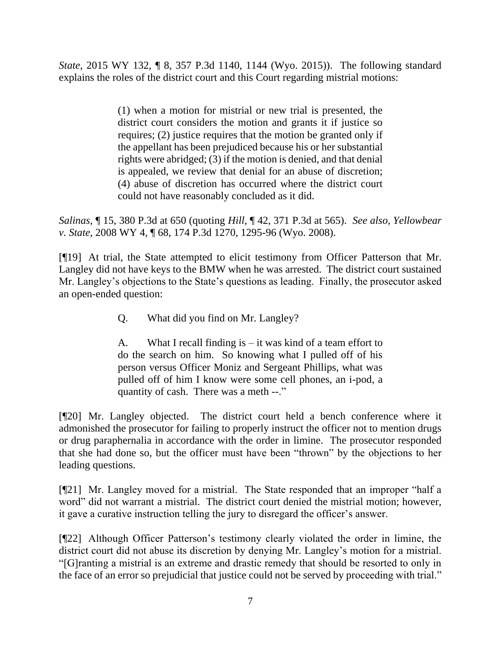*State,* 2015 WY 132, ¶ 8, 357 P.3d 1140, 1144 (Wyo. 2015)). The following standard explains the roles of the district court and this Court regarding mistrial motions:

> (1) when a motion for mistrial or new trial is presented, the district court considers the motion and grants it if justice so requires; (2) justice requires that the motion be granted only if the appellant has been prejudiced because his or her substantial rights were abridged; (3) if the motion is denied, and that denial is appealed, we review that denial for an abuse of discretion; (4) abuse of discretion has occurred where the district court could not have reasonably concluded as it did.

*Salinas,* ¶ 15, 380 P.3d at 650 (quoting *Hill,* ¶ 42, 371 P.3d at 565). *See also, Yellowbear v. State,* 2008 WY 4, ¶ 68, 174 P.3d 1270, 1295-96 (Wyo. 2008).

[¶19] At trial, the State attempted to elicit testimony from Officer Patterson that Mr. Langley did not have keys to the BMW when he was arrested. The district court sustained Mr. Langley's objections to the State's questions as leading. Finally, the prosecutor asked an open-ended question:

Q. What did you find on Mr. Langley?

A. What I recall finding is – it was kind of a team effort to do the search on him. So knowing what I pulled off of his person versus Officer Moniz and Sergeant Phillips, what was pulled off of him I know were some cell phones, an i-pod, a quantity of cash. There was a meth --."

[¶20] Mr. Langley objected. The district court held a bench conference where it admonished the prosecutor for failing to properly instruct the officer not to mention drugs or drug paraphernalia in accordance with the order in limine. The prosecutor responded that she had done so, but the officer must have been "thrown" by the objections to her leading questions.

[¶21] Mr. Langley moved for a mistrial. The State responded that an improper "half a word" did not warrant a mistrial. The district court denied the mistrial motion; however, it gave a curative instruction telling the jury to disregard the officer's answer.

[¶22] Although Officer Patterson's testimony clearly violated the order in limine, the district court did not abuse its discretion by denying Mr. Langley's motion for a mistrial. "[G]ranting a mistrial is an extreme and drastic remedy that should be resorted to only in the face of an error so prejudicial that justice could not be served by proceeding with trial."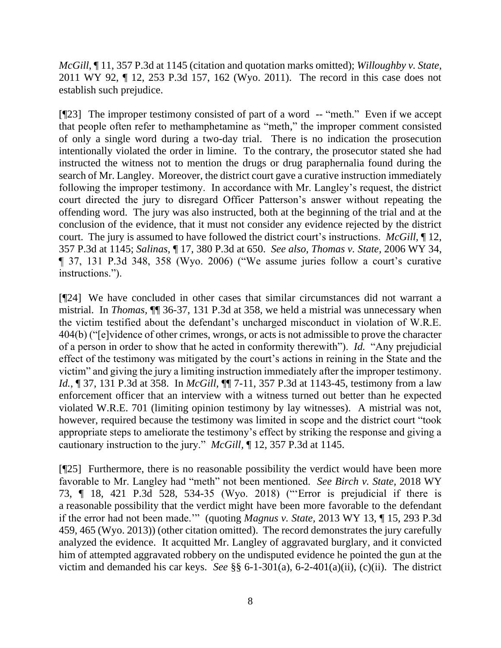*McGill*, ¶ 11, 357 P.3d at 1145 (citation and quotation marks omitted); *Willoughby v. State,*  2011 WY 92, ¶ 12, 253 P.3d 157, 162 (Wyo. 2011). The record in this case does not establish such prejudice.

[¶23] The improper testimony consisted of part of a word -- "meth." Even if we accept that people often refer to methamphetamine as "meth," the improper comment consisted of only a single word during a two-day trial. There is no indication the prosecution intentionally violated the order in limine. To the contrary, the prosecutor stated she had instructed the witness not to mention the drugs or drug paraphernalia found during the search of Mr. Langley. Moreover, the district court gave a curative instruction immediately following the improper testimony. In accordance with Mr. Langley's request, the district court directed the jury to disregard Officer Patterson's answer without repeating the offending word. The jury was also instructed, both at the beginning of the trial and at the conclusion of the evidence, that it must not consider any evidence rejected by the district court. The jury is assumed to have followed the district court's instructions. *McGill,* ¶ 12, 357 P.3d at 1145; *Salinas,* ¶ 17, 380 P.3d at 650. *See also, Thomas v. State,* 2006 WY 34, ¶ 37, 131 P.3d 348, 358 (Wyo. 2006) ("We assume juries follow a court's curative instructions.").

[¶24] We have concluded in other cases that similar circumstances did not warrant a mistrial. In *Thomas,* ¶¶ 36-37, 131 P.3d at 358, we held a mistrial was unnecessary when the victim testified about the defendant's uncharged misconduct in violation of W.R.E. 404(b) ("[e]vidence of other crimes, wrongs, or acts is not admissible to prove the character of a person in order to show that he acted in conformity therewith"). *Id.* "Any prejudicial effect of the testimony was mitigated by the court's actions in reining in the State and the victim" and giving the jury a limiting instruction immediately after the improper testimony. *Id.*, ¶ 37, 131 P.3d at 358.In *McGill,* ¶¶ 7-11, 357 P.3d at 1143-45, testimony from a law enforcement officer that an interview with a witness turned out better than he expected violated W.R.E. 701 (limiting opinion testimony by lay witnesses). A mistrial was not, however, required because the testimony was limited in scope and the district court "took appropriate steps to ameliorate the testimony's effect by striking the response and giving a cautionary instruction to the jury." *McGill,* ¶ 12, 357 P.3d at 1145.

[¶25] Furthermore, there is no reasonable possibility the verdict would have been more favorable to Mr. Langley had "meth" not been mentioned. *See Birch v. State,* 2018 WY 73, ¶ 18, 421 P.3d 528, 534-35 (Wyo. 2018) ("'Error is prejudicial if there is a reasonable possibility that the verdict might have been more favorable to the defendant if the error had not been made.'" (quoting *Magnus v. State,* 2013 WY 13, ¶ 15, 293 P.3d 459, 465 (Wyo. 2013)) (other citation omitted). The record demonstrates the jury carefully analyzed the evidence. It acquitted Mr. Langley of aggravated burglary, and it convicted him of attempted aggravated robbery on the undisputed evidence he pointed the gun at the victim and demanded his car keys. *See* §§ 6-1-301(a), 6-2-401(a)(ii), (c)(ii). The district